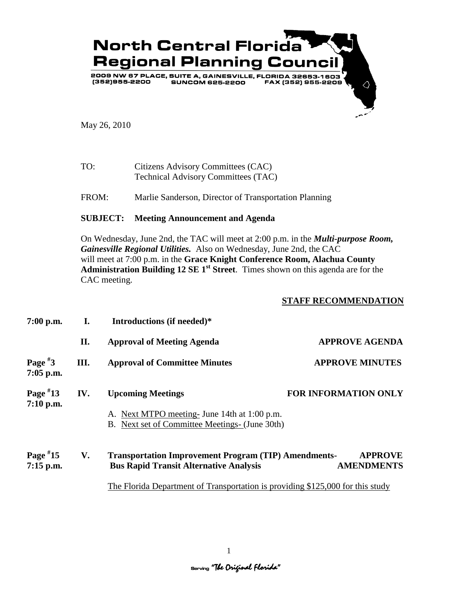

May 26, 2010

TO: Citizens Advisory Committees (CAC) Technical Advisory Committees (TAC)

FROM: Marlie Sanderson, Director of Transportation Planning

## **SUBJECT: Meeting Announcement and Agenda**

On Wednesday, June 2nd, the TAC will meet at 2:00 p.m. in the *Multi-purpose Room, Gainesville Regional Utilities.* Also on Wednesday, June 2nd, the CAC will meet at 7:00 p.m. in the **Grace Knight Conference Room, Alachua County Administration Building 12 SE 1st Street**. Times shown on this agenda are for the CAC meeting.

## **STAFF RECOMMENDATION**

| $7:00$ p.m.               | L.   | Introductions (if needed)*                                                                                                 |                                     |
|---------------------------|------|----------------------------------------------------------------------------------------------------------------------------|-------------------------------------|
|                           | П.   | <b>Approval of Meeting Agenda</b>                                                                                          | <b>APPROVE AGENDA</b>               |
| Page $*3$<br>$7:05$ p.m.  | III. | <b>Approval of Committee Minutes</b>                                                                                       | <b>APPROVE MINUTES</b>              |
| Page $*13$<br>7:10 p.m.   | IV.  | <b>Upcoming Meetings</b><br>A. Next MTPO meeting- June 14th at 1:00 p.m.<br>B. Next set of Committee Meetings- (June 30th) | <b>FOR INFORMATION ONLY</b>         |
| Page $*15$<br>$7:15$ p.m. | V.   | <b>Transportation Improvement Program (TIP) Amendments-</b><br><b>Bus Rapid Transit Alternative Analysis</b>               | <b>APPROVE</b><br><b>AMENDMENTS</b> |

The Florida Department of Transportation is providing \$125,000 for this study